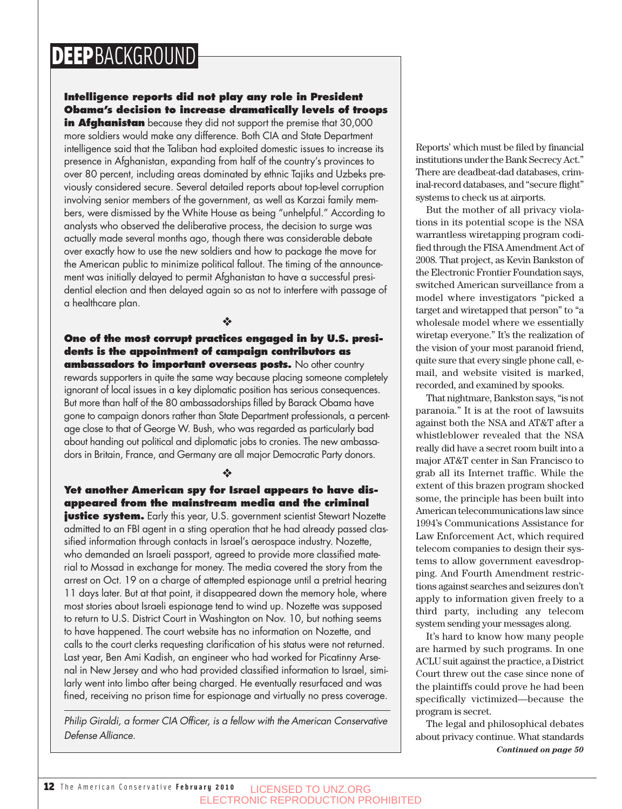## DEEPBACKGROUND

### **Intelligence reports did not play any role in President Obama's decision to increase dramatically levels of troops**

**in Afghanistan** because they did not support the premise that 30,000 more soldiers would make any difference. Both CIA and State Department intelligence said that the Taliban had exploited domestic issues to increase its presence in Afghanistan, expanding from half of the country's provinces to over 80 percent, including areas dominated by ethnic Tajiks and Uzbeks previously considered secure. Several detailed reports about top-level corruption involving senior members of the government, as well as Karzai family members, were dismissed by the White House as being "unhelpful." According to analysts who observed the deliberative process, the decision to surge was actually made several months ago, though there was considerable debate over exactly how to use the new soldiers and how to package the move for the American public to minimize political fallout. The timing of the announcement was initially delayed to permit Afghanistan to have a successful presidential election and then delayed again so as not to interfere with passage of a healthcare plan.

❖

#### **One of the most corrupt practices engaged in by U.S. presidents is the appointment of campaign contributors as ambassadors to important overseas posts.** No other country

rewards supporters in quite the same way because placing someone completely ignorant of local issues in a key diplomatic position has serious consequences. But more than half of the 80 ambassadorships filled by Barack Obama have gone to campaign donors rather than State Department professionals, a percentage close to that of George W. Bush, who was regarded as particularly bad about handing out political and diplomatic jobs to cronies. The new ambassadors in Britain, France, and Germany are all major Democratic Party donors.

#### **Yet another American spy for Israel appears to have disappeared from the mainstream media and the criminal**

❖

**justice system.** Early this year, U.S. government scientist Stewart Nozette admitted to an FBI agent in a sting operation that he had already passed classified information through contacts in Israel's aerospace industry. Nozette, who demanded an Israeli passport, agreed to provide more classified material to Mossad in exchange for money. The media covered the story from the arrest on Oct. 19 on a charge of attempted espionage until a pretrial hearing 11 days later. But at that point, it disappeared down the memory hole, where most stories about Israeli espionage tend to wind up. Nozette was supposed to return to U.S. District Court in Washington on Nov. 10, but nothing seems to have happened. The court website has no information on Nozette, and calls to the court clerks requesting clarification of his status were not returned. Last year, Ben Ami Kadish, an engineer who had worked for Picatinny Arsenal in New Jersey and who had provided classified information to Israel, similarly went into limbo after being charged. He eventually resurfaced and was fined, receiving no prison time for espionage and virtually no press coverage.

Philip Giraldi, a former CIA Officer, is a fellow with the American Conservative Defense Alliance.

Reports' which must be filed by financial institutions under the Bank Secrecy Act." There are deadbeat-dad databases, criminal-record databases, and "secure flight" systems to check us at airports.

But the mother of all privacy violations in its potential scope is the NSA warrantless wiretapping program codified through the FISA Amendment Act of 2008. That project, as Kevin Bankston of the Electronic Frontier Foundation says, switched American surveillance from a model where investigators "picked a target and wiretapped that person" to "a wholesale model where we essentially wiretap everyone." It's the realization of the vision of your most paranoid friend, quite sure that every single phone call, email, and website visited is marked, recorded, and examined by spooks.

That nightmare, Bankston says, "is not paranoia." It is at the root of lawsuits against both the NSA and AT&T after a whistleblower revealed that the NSA really did have a secret room built into a major AT&T center in San Francisco to grab all its Internet traffic. While the extent of this brazen program shocked some, the principle has been built into American telecommunications law since 1994's Communications Assistance for Law Enforcement Act, which required telecom companies to design their systems to allow government eavesdropping. And Fourth Amendment restrictions against searches and seizures don't apply to information given freely to a third party, including any telecom system sending your messages along.

It's hard to know how many people are harmed by such programs. In one ACLU suit against the practice, a District Court threw out the case since none of the plaintiffs could prove he had been specifically victimized—because the program is secret.

The legal and philosophical debates about privacy continue. What standards *Continued on page 50*